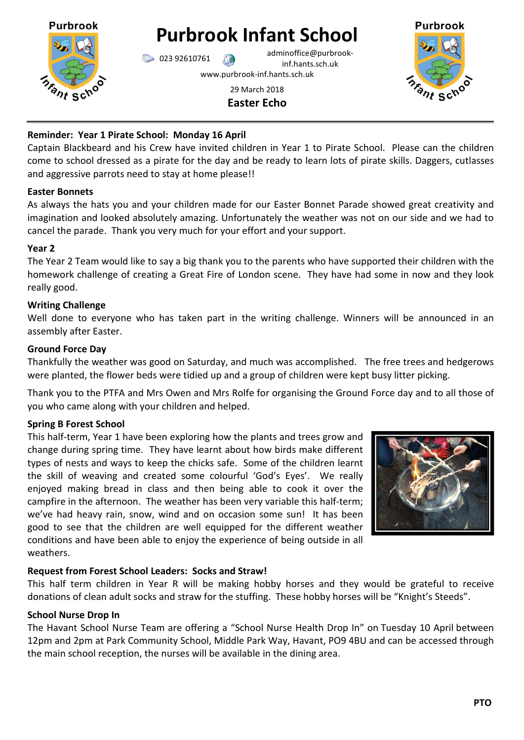

# **Purbrook Infant School**

 $\bigcirc$  023 92610761 adminoffice@purbrookinf.hants.sch.uk

Purbrook

www.purbrook-inf.hants.sch.uk

## 29 March 2018 **Easter Echo**

## **Reminder: Year 1 Pirate School: Monday 16 April**

Captain Blackbeard and his Crew have invited children in Year 1 to Pirate School. Please can the children come to school dressed as a pirate for the day and be ready to learn lots of pirate skills. Daggers, cutlasses and aggressive parrots need to stay at home please!!

## **Easter Bonnets**

As always the hats you and your children made for our Easter Bonnet Parade showed great creativity and imagination and looked absolutely amazing. Unfortunately the weather was not on our side and we had to cancel the parade. Thank you very much for your effort and your support.

## **Year 2**

The Year 2 Team would like to say a big thank you to the parents who have supported their children with the homework challenge of creating a Great Fire of London scene. They have had some in now and they look really good.

## **Writing Challenge**

Well done to everyone who has taken part in the writing challenge. Winners will be announced in an assembly after Easter.

## **Ground Force Day**

Thankfully the weather was good on Saturday, and much was accomplished. The free trees and hedgerows were planted, the flower beds were tidied up and a group of children were kept busy litter picking.

Thank you to the PTFA and Mrs Owen and Mrs Rolfe for organising the Ground Force day and to all those of you who came along with your children and helped.

# **Spring B Forest School**

This half-term, Year 1 have been exploring how the plants and trees grow and change during spring time. They have learnt about how birds make different types of nests and ways to keep the chicks safe. Some of the children learnt the skill of weaving and created some colourful 'God's Eyes'. We really enjoyed making bread in class and then being able to cook it over the campfire in the afternoon. The weather has been very variable this half-term; we've had heavy rain, snow, wind and on occasion some sun! It has been good to see that the children are well equipped for the different weather conditions and have been able to enjoy the experience of being outside in all weathers.



# **Request from Forest School Leaders: Socks and Straw!**

This half term children in Year R will be making hobby horses and they would be grateful to receive donations of clean adult socks and straw for the stuffing. These hobby horses will be "Knight's Steeds".

## **School Nurse Drop In**

The Havant School Nurse Team are offering a "School Nurse Health Drop In" on Tuesday 10 April between 12pm and 2pm at Park Community School, Middle Park Way, Havant, PO9 4BU and can be accessed through the main school reception, the nurses will be available in the dining area.